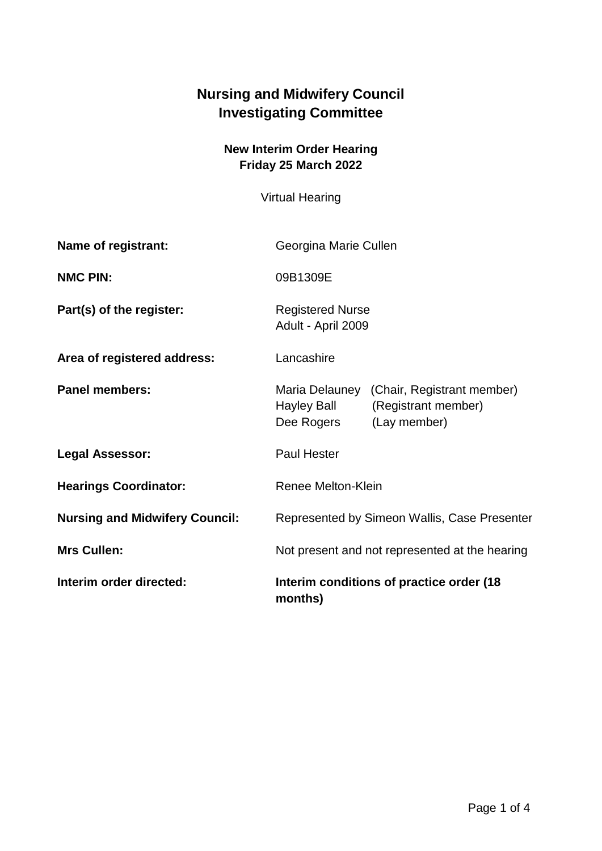## **Nursing and Midwifery Council Investigating Committee**

## **New Interim Order Hearing Friday 25 March 2022**

Virtual Hearing

| Interim order directed:               | Interim conditions of practice order (18<br>months)                                                              |
|---------------------------------------|------------------------------------------------------------------------------------------------------------------|
| <b>Mrs Cullen:</b>                    | Not present and not represented at the hearing                                                                   |
| <b>Nursing and Midwifery Council:</b> | Represented by Simeon Wallis, Case Presenter                                                                     |
| <b>Hearings Coordinator:</b>          | Renee Melton-Klein                                                                                               |
| <b>Legal Assessor:</b>                | <b>Paul Hester</b>                                                                                               |
| <b>Panel members:</b>                 | Maria Delauney<br>(Chair, Registrant member)<br>Hayley Ball<br>(Registrant member)<br>Dee Rogers<br>(Lay member) |
| Area of registered address:           | Lancashire                                                                                                       |
| Part(s) of the register:              | <b>Registered Nurse</b><br>Adult - April 2009                                                                    |
| <b>NMC PIN:</b>                       | 09B1309E                                                                                                         |
| Name of registrant:                   | Georgina Marie Cullen                                                                                            |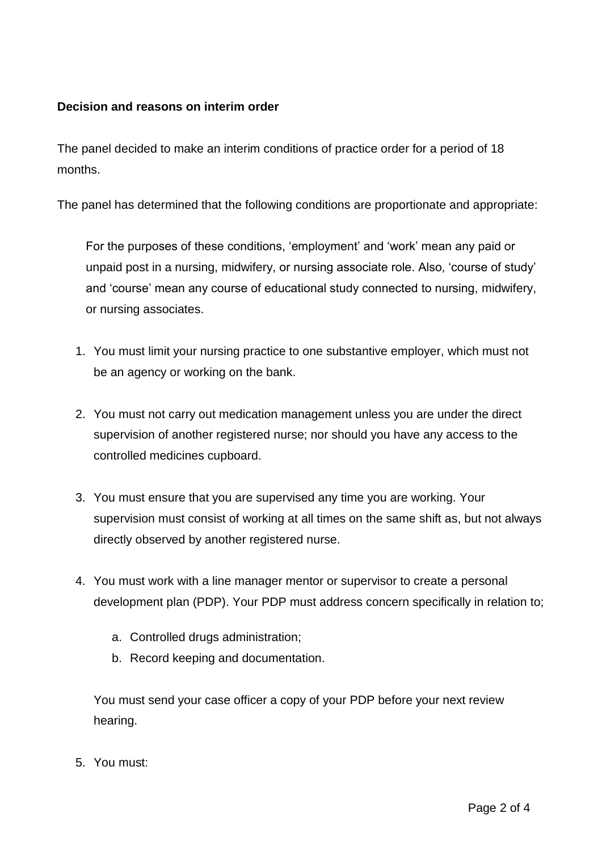## **Decision and reasons on interim order**

The panel decided to make an interim conditions of practice order for a period of 18 months.

The panel has determined that the following conditions are proportionate and appropriate:

For the purposes of these conditions, 'employment' and 'work' mean any paid or unpaid post in a nursing, midwifery, or nursing associate role. Also, 'course of study' and 'course' mean any course of educational study connected to nursing, midwifery, or nursing associates.

- 1. You must limit your nursing practice to one substantive employer, which must not be an agency or working on the bank.
- 2. You must not carry out medication management unless you are under the direct supervision of another registered nurse; nor should you have any access to the controlled medicines cupboard.
- 3. You must ensure that you are supervised any time you are working. Your supervision must consist of working at all times on the same shift as, but not always directly observed by another registered nurse.
- 4. You must work with a line manager mentor or supervisor to create a personal development plan (PDP). Your PDP must address concern specifically in relation to;
	- a. Controlled drugs administration;
	- b. Record keeping and documentation.

You must send your case officer a copy of your PDP before your next review hearing.

5. You must: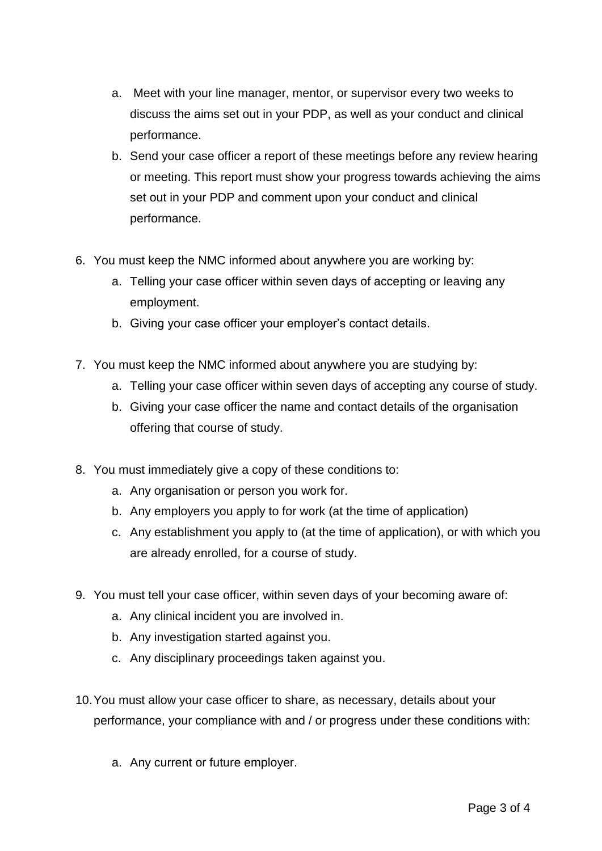- a. Meet with your line manager, mentor, or supervisor every two weeks to discuss the aims set out in your PDP, as well as your conduct and clinical performance.
- b. Send your case officer a report of these meetings before any review hearing or meeting. This report must show your progress towards achieving the aims set out in your PDP and comment upon your conduct and clinical performance.
- 6. You must keep the NMC informed about anywhere you are working by:
	- a. Telling your case officer within seven days of accepting or leaving any employment.
	- b. Giving your case officer your employer's contact details.
- 7. You must keep the NMC informed about anywhere you are studying by:
	- a. Telling your case officer within seven days of accepting any course of study.
	- b. Giving your case officer the name and contact details of the organisation offering that course of study.
- 8. You must immediately give a copy of these conditions to:
	- a. Any organisation or person you work for.
	- b. Any employers you apply to for work (at the time of application)
	- c. Any establishment you apply to (at the time of application), or with which you are already enrolled, for a course of study.
- 9. You must tell your case officer, within seven days of your becoming aware of:
	- a. Any clinical incident you are involved in.
	- b. Any investigation started against you.
	- c. Any disciplinary proceedings taken against you.
- 10.You must allow your case officer to share, as necessary, details about your performance, your compliance with and / or progress under these conditions with:
	- a. Any current or future employer.